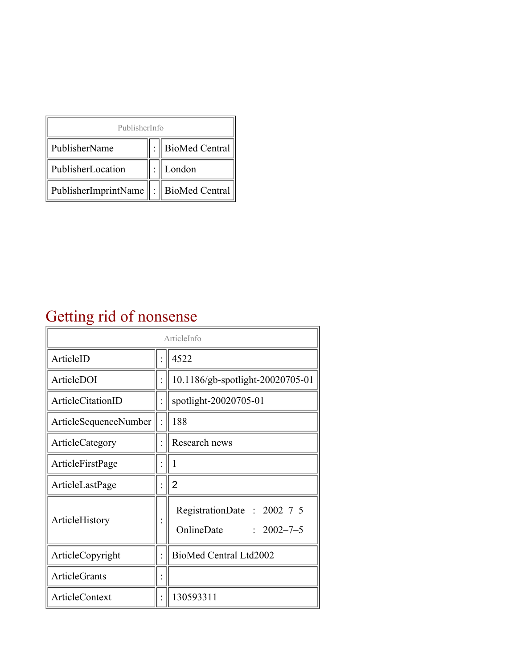| PublisherInfo                                   |  |                    |  |  |
|-------------------------------------------------|--|--------------------|--|--|
| PublisherName                                   |  | :   BioMed Central |  |  |
| PublisherLocation                               |  | London             |  |  |
| PublisherImprintName $\ \cdot\ $ BioMed Central |  |                    |  |  |

## Getting rid of nonsense

| ArticleInfo           |  |                                                              |
|-----------------------|--|--------------------------------------------------------------|
| ArticleID             |  | 4522                                                         |
| ArticleDOI            |  | 10.1186/gb-spotlight-20020705-01                             |
| ArticleCitationID     |  | spotlight-20020705-01                                        |
| ArticleSequenceNumber |  | 188                                                          |
| ArticleCategory       |  | Research news                                                |
| ArticleFirstPage      |  | 1                                                            |
| ArticleLastPage       |  | $\overline{2}$                                               |
| ArticleHistory        |  | RegistrationDate: 2002-7-5<br>OnlineDate<br>$: 2002 - 7 - 5$ |
| ArticleCopyright      |  | BioMed Central Ltd2002                                       |
| <b>ArticleGrants</b>  |  |                                                              |
| <b>ArticleContext</b> |  | 130593311                                                    |